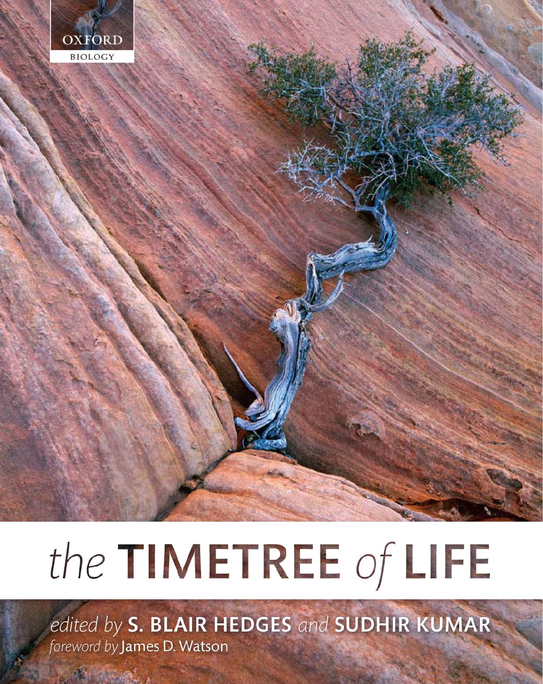

# the TIMETREE of LIFE

edited by S. BLAIR HEDGES and SUDHIR KUMAR foreword by James D. Watson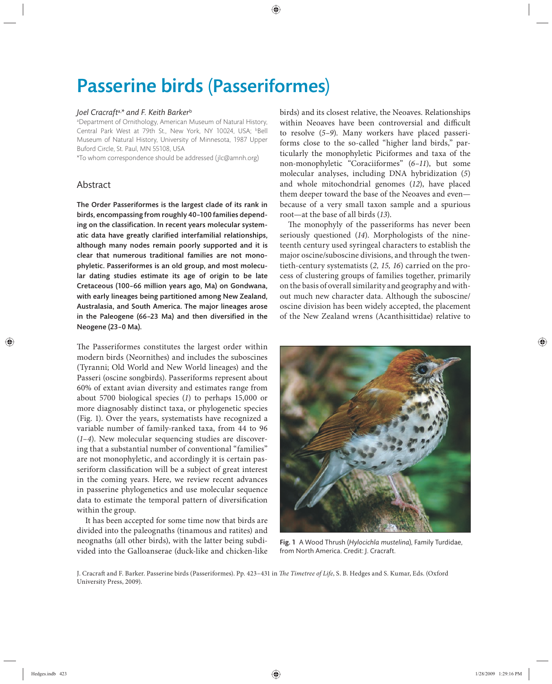# Passerine birds (Passeriformes)

## *Joel Cracraft*a,*\* and F. Keith Barker*<sup>b</sup>

a Department of Ornithology, American Museum of Natural History, Central Park West at 79th St., New York, NY 10024, USA; bBell Museum of Natural History, University of Minnesota, 1987 Upper Buford Circle, St. Paul, MN 55108, USA

\*To whom correspondence should be addressed (jlc@amnh.org)

# Abstract

The Order Passeriformes is the largest clade of its rank in birds, encompassing from roughly 40–100 families depending on the classification. In recent years molecular systematic data have greatly clarified interfamilial relationships, although many nodes remain poorly supported and it is clear that numerous traditional families are not monophyletic. Passeriformes is an old group, and most molecular dating studies estimate its age of origin to be late Cretaceous (100–66 million years ago, Ma) on Gondwana, with early lineages being partitioned among New Zealand, Australasia, and South America. The major lineages arose in the Paleogene (66-23 Ma) and then diversified in the Neogene (23–0 Ma).

The Passeriformes constitutes the largest order within modern birds (Neornithes) and includes the suboscines (Tyranni; Old World and New World lineages) and the Passeri (oscine songbirds). Passeriforms represent about 60% of extant avian diversity and estimates range from about 5700 biological species (*1*) to perhaps 15,000 or more diagnosably distinct taxa, or phylogenetic species (Fig. 1). Over the years, systematists have recognized a variable number of family-ranked taxa, from 44 to 96  $(1-4)$ . New molecular sequencing studies are discovering that a substantial number of conventional "families" are not monophyletic, and accordingly it is certain passeriform classification will be a subject of great interest in the coming years. Here, we review recent advances in passerine phylogenetics and use molecular sequence data to estimate the temporal pattern of diversification within the group.

It has been accepted for some time now that birds are divided into the paleognaths (tinamous and ratites) and neognaths (all other birds), with the latter being subdivided into the Galloanserae (duck-like and chicken-like

birds) and its closest relative, the Neoaves. Relationships within Neoaves have been controversial and difficult to resolve (*5–9*). Many workers have placed passeriforms close to the so-called "higher land birds," particularly the monophyletic Piciformes and taxa of the non- monophyletic "Coraciiformes" (*6–11*), but some molecular analyses, including DNA hybridization (5) and whole mitochondrial genomes (*12*), have placed them deeper toward the base of the Neoaves and even because of a very small taxon sample and a spurious root—at the base of all birds (*13*).

The monophyly of the passeriforms has never been seriously questioned (*14*). Morphologists of the nineteenth century used syringeal characters to establish the major oscine/suboscine divisions, and through the twentieth-century systematists (*2, 15, 16*) carried on the process of clustering groups of families together, primarily on the basis of overall similarity and geography and without much new character data. Although the suboscine/ oscine division has been widely accepted, the placement of the New Zealand wrens (Acanthisittidae) relative to



Fig. 1 A Wood Thrush (*Hylocichla mustelina*), Family Turdidae, from North America. Credit: J. Cracraft.

J. Cracraft and F. Barker. Passerine birds (Passeriformes). Pp. 423-431 in *The Timetree of Life*, S. B. Hedges and S. Kumar, Eds. (Oxford University Press, 2009).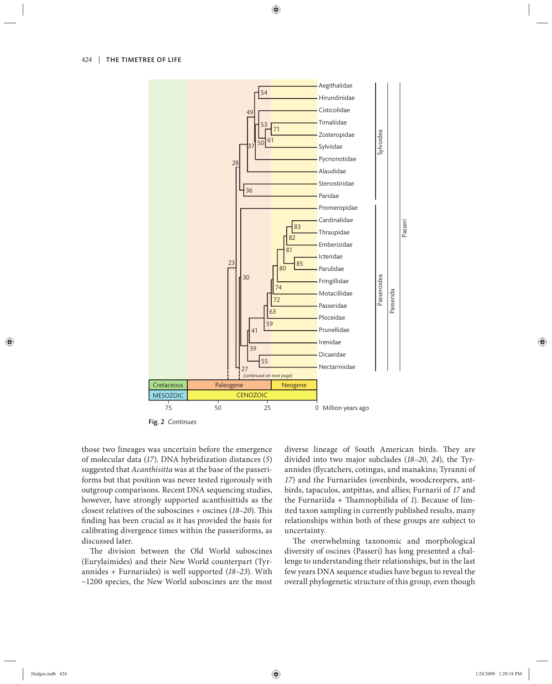

Fig. 2 *Continues*

those two lineages was uncertain before the emergence of molecular data (*17*). DNA hybridization distances (*5*) suggested that *Acanthisitta* was at the base of the passeriforms but that position was never tested rigorously with outgroup comparisons. Recent DNA sequencing studies, however, have strongly supported acanthisittids as the closest relatives of the suboscines + oscines (18-20). This finding has been crucial as it has provided the basis for calibrating divergence times within the passeriforms, as discussed later.

The division between the Old World suboscines (Eurylaimides) and their New World counterpart (Tyrannides + Furnariides) is well supported (*18–23*). With ~1200 species, the New World suboscines are the most diverse lineage of South American birds. They are divided into two major su bclades (*18–20, 24*), the Tyrannides (flycatchers, cotingas, and manakins; Tyranni of *17*) and the Furnariides (ovenbirds, woodcreepers, antbirds, tapaculos, antpittas, and allies; Furnarii of *17* and the Furnariida + Thamnophilida of 1). Because of limited taxon sampling in currently published results, many relationships within both of these groups are subject to uncertainty.

The overwhelming taxonomic and morphological diversity of oscines (Passeri) has long presented a challenge to understanding their relationships, but in the last few years DNA sequence studies have begun to reveal the overall phylogenetic structure of this group, even though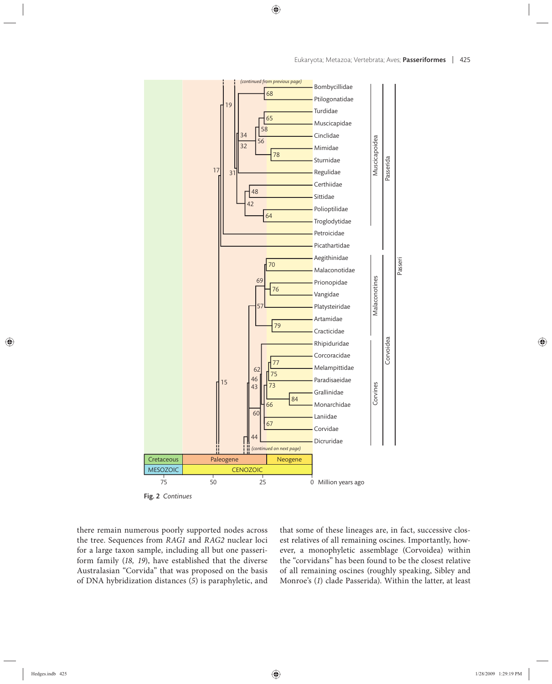

Fig. 2 *Continues*

there remain numerous poorly supported nodes across the tree. Sequences from *RAG1* and *RAG2* nuclear loci for a large taxon sample, including all but one passeriform family (*18, 19*), have established that the diverse Australasian "Corvida" that was proposed on the basis of DNA hybridization distances (*5*) is paraphyletic, and that some of these lineages are, in fact, successive closest relatives of all remaining oscines. Importantly, however, a monophyletic assemblage (Corvoidea) within the "corvidans" has been found to be the closest relative of all remaining oscines (roughly speaking, Sibley and Monroe's (*1*) clade Passerida). Within the latter, at least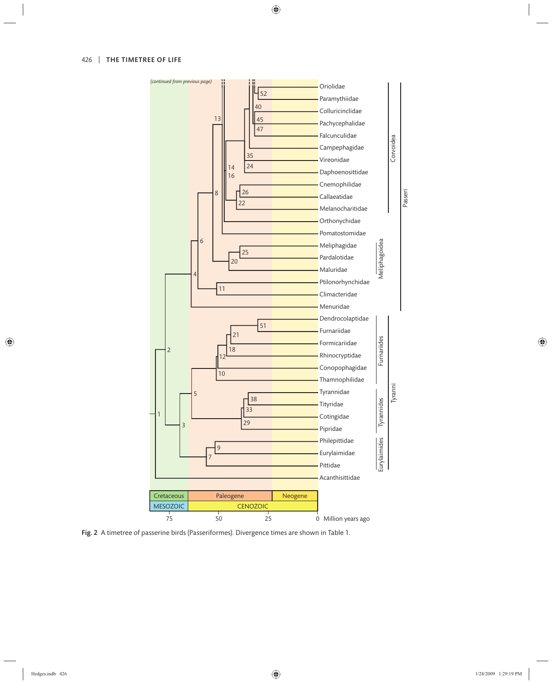

Fig. 2 A timetree of passerine birds (Passeriformes). Divergence times are shown in Table 1.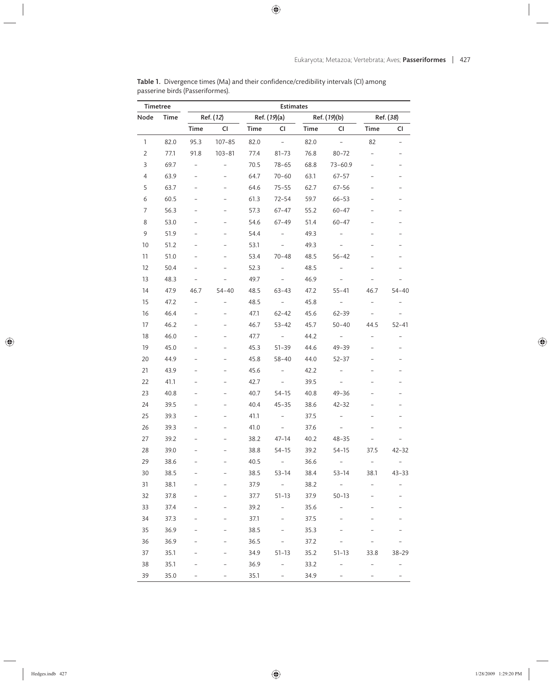| <b>Timetree</b> |      | <b>Estimates</b>         |                          |              |                          |              |                          |                          |                          |  |
|-----------------|------|--------------------------|--------------------------|--------------|--------------------------|--------------|--------------------------|--------------------------|--------------------------|--|
| Node            | Time | Ref. (12)                |                          | Ref. (19)(a) |                          | Ref. (19)(b) |                          | Ref. (38)                |                          |  |
|                 |      | Time                     | CI                       | Time         | CI                       | Time         | CI                       | Time                     | CI                       |  |
| 1               | 82.0 | 95.3                     | $107 - 85$               | 82.0         | $\overline{\phantom{0}}$ | 82.0         | $\bar{a}$                | 82                       |                          |  |
| $\overline{2}$  | 77.1 | 91.8                     | $103 - 81$               | 77.4         | $81 - 73$                | 76.8         | $80 - 72$                |                          |                          |  |
| 3               | 69.7 | $\overline{\phantom{0}}$ |                          | 70.5         | $78 - 65$                | 68.8         | $73 - 60.9$              |                          |                          |  |
| 4               | 63.9 |                          | $\overline{a}$           | 64.7         | $70 - 60$                | 63.1         | $67 - 57$                |                          |                          |  |
| 5               | 63.7 |                          |                          | 64.6         | $75 - 55$                | 62.7         | $67 - 56$                |                          |                          |  |
| 6               | 60.5 |                          |                          | 61.3         | $72 - 54$                | 59.7         | $66 - 53$                |                          |                          |  |
| 7               | 56.3 |                          | $\overline{\phantom{0}}$ | 57.3         | $67 - 47$                | 55.2         | $60 - 47$                |                          |                          |  |
| 8               | 53.0 |                          |                          | 54.6         | 67-49                    | 51.4         | $60 - 47$                |                          |                          |  |
| 9               | 51.9 |                          |                          | 54.4         | $\overline{\phantom{0}}$ | 49.3         |                          |                          |                          |  |
| 10              | 51.2 |                          | $\overline{a}$           | 53.1         | $\equiv$                 | 49.3         | $\overline{\phantom{0}}$ |                          |                          |  |
| 11              | 51.0 |                          |                          | 53.4         | $70 - 48$                | 48.5         | $56 - 42$                |                          |                          |  |
| 12              | 50.4 |                          |                          | 52.3         |                          | 48.5         |                          |                          |                          |  |
| 13              | 48.3 |                          |                          | 49.7         | $\overline{\phantom{0}}$ | 46.9         |                          |                          |                          |  |
| 14              | 47.9 | 46.7                     | $54 - 40$                | 48.5         | $63 - 43$                | 47.2         | $55 - 41$                | 46.7                     | $54 - 40$                |  |
| 15              | 47.2 | $\overline{a}$           |                          | 48.5         | $\sim$ $-$               | 45.8         | $\overline{\phantom{a}}$ |                          |                          |  |
| 16              | 46.4 |                          |                          | 47.1         | $62 - 42$                | 45.6         | 62-39                    | $\overline{\phantom{a}}$ |                          |  |
| 17              | 46.2 |                          |                          | 46.7         | $53 - 42$                | 45.7         | $50 - 40$                | 44.5                     | $52 - 41$                |  |
| 18              | 46.0 |                          |                          | 47.7         |                          | 44.2         |                          |                          |                          |  |
| 19              | 45.0 |                          |                          | 45.3         | $51 - 39$                | 44.6         | $49 - 39$                |                          |                          |  |
| 20              | 44.9 |                          |                          | 45.8         | 58-40                    | 44.0         | $52 - 37$                |                          |                          |  |
| 21              | 43.9 |                          |                          | 45.6         | $\overline{\phantom{a}}$ | 42.2         |                          |                          |                          |  |
| 22              | 41.1 |                          | $\overline{a}$           | 42.7         | $\overline{\phantom{0}}$ | 39.5         | $\overline{\phantom{0}}$ |                          |                          |  |
| 23              | 40.8 |                          |                          | 40.7         | $54 - 15$                | 40.8         | 49-36                    |                          |                          |  |
| 24              | 39.5 |                          |                          | 40.4         | $45 - 35$                | 38.6         | $42 - 32$                |                          |                          |  |
| 25              | 39.3 |                          |                          | 41.1         |                          | 37.5         |                          |                          |                          |  |
| 26              | 39.3 |                          |                          | 41.0         |                          | 37.6         |                          |                          |                          |  |
| 27              | 39.2 |                          |                          | 38.2         | 47-14                    | 40.2         | $48 - 35$                |                          |                          |  |
| 28              | 39.0 |                          |                          | 38.8         | $54 - 15$                | 39.2         | $54 - 15$                | 37.5                     | $42 - 32$                |  |
| 29              | 38.6 |                          |                          | 40.5         | $\overline{\phantom{a}}$ | 36.6         | $\overline{\phantom{a}}$ | $\overline{\phantom{a}}$ | $\sim$                   |  |
| 30              | 38.5 |                          |                          | 38.5         | $53 - 14$                | 38.4         | 53-14                    | 38.1                     | $43 - 33$                |  |
| 31              | 38.1 |                          |                          | 37.9         | $\sim$                   | 38.2         | $\sim$                   |                          | $\qquad \qquad -$        |  |
| 32              | 37.8 |                          |                          | 37.7         | $51 - 13$                | 37.9         | $50 - 13$                |                          |                          |  |
| 33              | 37.4 |                          |                          | 39.2         | $\overline{\phantom{0}}$ | 35.6         | $\overline{\phantom{0}}$ |                          |                          |  |
| 34              | 37.3 |                          |                          | 37.1         |                          | 37.5         |                          |                          |                          |  |
| 35              | 36.9 |                          |                          | 38.5         |                          | 35.3         |                          |                          |                          |  |
| 36              | 36.9 |                          |                          | 36.5         |                          | 37.2         |                          |                          |                          |  |
| 37              | 35.1 |                          |                          | 34.9         | $51 - 13$                | 35.2         | $51 - 13$                | 33.8                     | 38-29                    |  |
| 38              | 35.1 |                          |                          | 36.9         | -                        | 33.2         |                          |                          | $\overline{\phantom{0}}$ |  |
| 39              | 35.0 |                          |                          | 35.1         |                          | 34.9         |                          |                          |                          |  |

**Table 1.** Divergence times (Ma) and their confidence/credibility intervals (CI) among passerine birds (Passeriformes).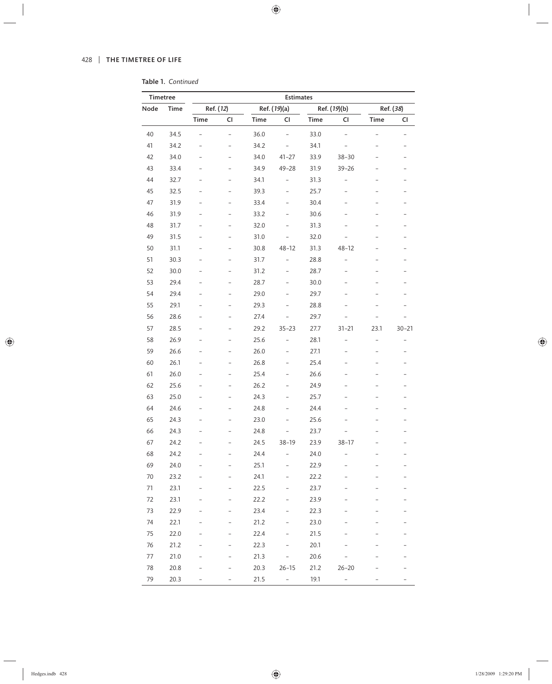|  | Table 1. Continued |
|--|--------------------|
|  |                    |

| Timetree |      | <b>Estimates</b>         |                          |              |                          |              |                          |                          |                          |  |
|----------|------|--------------------------|--------------------------|--------------|--------------------------|--------------|--------------------------|--------------------------|--------------------------|--|
| Node     | Time | Ref. (12)                |                          | Ref. (19)(a) |                          | Ref. (19)(b) |                          | Ref. (38)                |                          |  |
|          |      | Time                     | CI                       | <b>Time</b>  | CI                       | <b>Time</b>  | CI                       | Time                     | CI                       |  |
| 40       | 34.5 |                          | $\overline{\phantom{0}}$ | 36.0         | $\overline{\phantom{0}}$ | 33.0         |                          |                          |                          |  |
| 41       | 34.2 | $\overline{a}$           | $\overline{a}$           | 34.2         | $\overline{\phantom{0}}$ | 34.1         | $\overline{\phantom{a}}$ |                          | $\overline{a}$           |  |
| 42       | 34.0 | $\overline{a}$           | $\overline{a}$           | 34.0         | $41 - 27$                | 33.9         | $38 - 30$                | $\qquad \qquad -$        | $\overline{\phantom{0}}$ |  |
| 43       | 33.4 | -                        | -                        | 34.9         | $49 - 28$                | 31.9         | $39 - 26$                | $\overline{\phantom{0}}$ | $\overline{a}$           |  |
| 44       | 32.7 | $\overline{a}$           | $\overline{a}$           | 34.1         | $\overline{a}$           | 31.3         | $\overline{a}$           | $\overline{a}$           | $\overline{a}$           |  |
| 45       | 32.5 | $\overline{a}$           | $\overline{a}$           | 39.3         | $\overline{\phantom{0}}$ | 25.7         | $\overline{a}$           | $\overline{a}$           | $\overline{a}$           |  |
| 47       | 31.9 | -                        | -                        | 33.4         | -                        | 30.4         | -                        |                          | $\overline{a}$           |  |
| 46       | 31.9 | $\overline{a}$           | $\overline{a}$           | 33.2         | $\overline{\phantom{0}}$ | 30.6         | $\overline{a}$           |                          | $\overline{\phantom{0}}$ |  |
| 48       | 31.7 | $\overline{a}$           | $\overline{a}$           | 32.0         | $\overline{a}$           | 31.3         | $\overline{\phantom{0}}$ | $\overline{a}$           | $\overline{\phantom{0}}$ |  |
| 49       | 31.5 | -                        | -                        | 31.0         |                          | 32.0         |                          | -                        | $\overline{\phantom{0}}$ |  |
| 50       | 31.1 | $\overline{a}$           | $\overline{a}$           | 30.8         | $48 - 12$                | 31.3         | $48 - 12$                | $\qquad \qquad -$        | $\overline{a}$           |  |
| 51       | 30.3 | $\overline{a}$           | $\overline{a}$           | 31.7         | $\overline{\phantom{0}}$ | 28.8         | $\overline{a}$           | $\overline{a}$           | $\overline{a}$           |  |
| 52       | 30.0 | -                        | -                        | 31.2         | -                        | 28.7         | -                        |                          | $\overline{a}$           |  |
| 53       | 29.4 | $\overline{a}$           | $\overline{a}$           | 28.7         | $\overline{\phantom{0}}$ | 30.0         | $\overline{\phantom{0}}$ |                          | $\overline{a}$           |  |
| 54       | 29.4 | $\overline{a}$           | $\overline{a}$           | 29.0         | $\overline{\phantom{0}}$ | 29.7         | $\overline{a}$           | $\overline{a}$           | $\overline{\phantom{0}}$ |  |
| 55       | 29.1 | -                        | -                        | 29.3         | -                        | 28.8         |                          |                          | $\qquad \qquad -$        |  |
| 56       | 28.6 | $\overline{a}$           | $\overline{a}$           | 27.4         | $\overline{a}$           | 29.7         |                          |                          |                          |  |
| 57       | 28.5 | $\overline{a}$           | $\overline{a}$           | 29.2         | $35 - 23$                | 27.7         | $31 - 21$                | 23.1                     | $30 - 21$                |  |
| 58       | 26.9 | -                        | -                        | 25.6         | $\overline{\phantom{0}}$ | 28.1         | $\overline{\phantom{0}}$ | $\overline{\phantom{0}}$ | $\overline{a}$           |  |
| 59       | 26.6 | $\overline{\phantom{0}}$ | $\overline{a}$           | 26.0         | $\overline{\phantom{0}}$ | 27.1         | $\qquad \qquad -$        | $\overline{a}$           | $\overline{a}$           |  |
| 60       | 26.1 | $\overline{a}$           | $\overline{a}$           | 26.8         | $\overline{\phantom{0}}$ | 25.4         | $\overline{a}$           | $\overline{a}$           | $\overline{a}$           |  |
| 61       | 26.0 | -                        | -                        | 25.4         | -                        | 26.6         | $\overline{\phantom{0}}$ | $\overline{a}$           | $\overline{a}$           |  |
| 62       | 25.6 | $\overline{a}$           | $\overline{a}$           | 26.2         | $\overline{a}$           | 24.9         | $\overline{a}$           |                          | $\overline{a}$           |  |
| 63       | 25.0 | $\overline{a}$           | $\overline{a}$           | 24.3         | $\overline{\phantom{0}}$ | 25.7         | $\overline{a}$           | $\overline{\phantom{0}}$ | $\overline{a}$           |  |
| 64       | 24.6 | -                        | -                        | 24.8         | -                        | 24.4         | $\overline{\phantom{0}}$ |                          | $\overline{a}$           |  |
| 65       | 24.3 | $\overline{a}$           | $\overline{a}$           | 23.0         | $\overline{a}$           | 25.6         |                          |                          | $\overline{a}$           |  |
| 66       | 24.3 | $\overline{a}$           | $\overline{a}$           | 24.8         | $\overline{\phantom{0}}$ | 23.7         |                          |                          | $\overline{a}$           |  |
| 67       | 24.2 |                          |                          | 24.5         | $38 - 19$                | 23.9         | $38 - 17$                |                          |                          |  |
| 68       | 24.2 |                          |                          | 24.4         |                          | 24.0         |                          |                          |                          |  |
| 69       | 24.0 |                          |                          | 25.1         |                          | 22.9         |                          |                          |                          |  |
| $70\,$   | 23.2 |                          |                          | 24.1         |                          | 22.2         |                          |                          |                          |  |
| 71       | 23.1 |                          |                          | 22.5         |                          | 23.7         |                          |                          |                          |  |
| 72       | 23.1 |                          |                          | 22.2         |                          | 23.9         |                          |                          |                          |  |
| 73       | 22.9 |                          |                          | 23.4         |                          | 22.3         |                          |                          |                          |  |
| 74       | 22.1 |                          |                          | 21.2         |                          | 23.0         |                          |                          |                          |  |
| 75       | 22.0 |                          |                          | 22.4         |                          | 21.5         |                          |                          | $\overline{\phantom{0}}$ |  |
| 76       | 21.2 |                          |                          | 22.3         |                          | 20.1         |                          |                          | -                        |  |
| $77 \,$  | 21.0 |                          |                          | 21.3         |                          | 20.6         |                          |                          |                          |  |
| 78       | 20.8 |                          |                          | 20.3         | $26 - 15$                | 21.2         | $26 - 20$                |                          |                          |  |
| 79       | 20.3 |                          |                          | 21.5         | $\overline{\phantom{a}}$ | 19.1         | $\overline{\phantom{0}}$ |                          | -                        |  |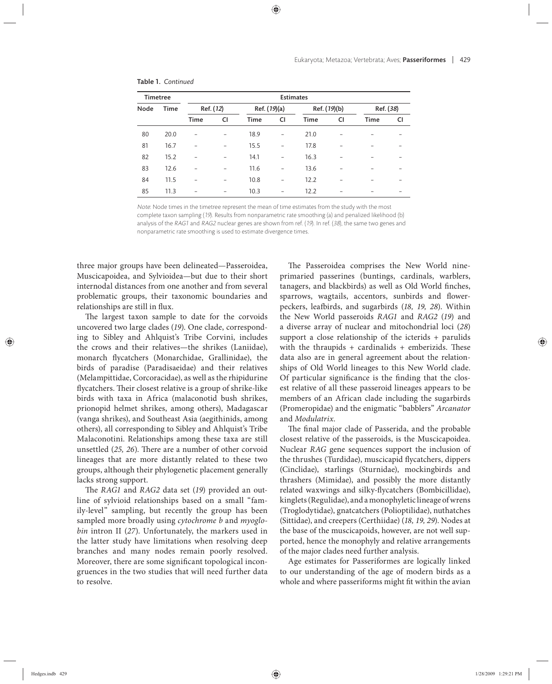| Timetree |      | <b>Estimates</b> |    |              |                   |              |    |           |    |  |
|----------|------|------------------|----|--------------|-------------------|--------------|----|-----------|----|--|
| Node     | Time | Ref. (12)        |    | Ref. (19)(a) |                   | Ref. (19)(b) |    | Ref. (38) |    |  |
|          |      | Time             | CI | Time         | <b>CI</b>         | Time         | CI | Time      | CI |  |
| 80       | 20.0 |                  | -  | 18.9         | $\qquad \qquad -$ | 21.0         |    |           |    |  |
| 81       | 16.7 |                  |    | 15.5         | $\overline{a}$    | 17.8         |    |           |    |  |
| 82       | 15.2 |                  | -  | 14.1         | $\overline{a}$    | 16.3         |    |           |    |  |
| 83       | 12.6 |                  | -  | 11.6         | $\overline{a}$    | 13.6         |    |           |    |  |
| 84       | 11.5 |                  | -  | 10.8         |                   | 12.2         |    |           |    |  |
| 85       | 11.3 |                  | -  | 10.3         |                   | 12.2         |    |           |    |  |

#### Table 1. *Continued*

Note: Node times in the timetree represent the mean of time estimates from the study with the most complete taxon sampling (19). Results from nonparametric rate smoothing (a) and penalized likelihood (b) analysis of the RAG1 and RAG2 nuclear genes are shown from ref. (19). In ref. (38), the same two genes and nonparametric rate smoothing is used to estimate divergence times.

three major groups have been delineated—Passeroidea, Muscicapoidea, and Sylvioidea—but due to their short internodal distances from one another and from several problematic groups, their taxonomic boundaries and relationships are still in flux.

The largest taxon sample to date for the corvoids uncovered two large clades (*19*). One clade, corresponding to Sibley and Ahlquist's Tribe Corvini, includes the crows and their relatives—the shrikes (Laniidae), monarch flycatchers (Monarchidae, Grallinidae), the birds of paradise (Paradisaeidae) and their relatives (Melampittidae, Corcoracidae), as well as the rhipidurine flycatchers. Their closest relative is a group of shrike-like birds with taxa in Africa (malaconotid bush shrikes, prionopid helmet shrikes, among others), Madagascar (vanga shrikes), and Southeast Asia (aegithinids, among others), all corresponding to Sibley and Ahlquist's Tribe Malaconotini. Relationships among these taxa are still unsettled (25, 26). There are a number of other corvoid lineages that are more distantly related to these two groups, although their phylogenetic placement generally lacks strong support.

The *RAG1* and *RAG2* data set (19) provided an outline of sylvioid relationships based on a small "family-level" sampling, but recently the group has been sampled more broadly using *cytochrome b* and *myoglobin* intron II (*27*). Unfortunately, the markers used in the latter study have limitations when resolving deep branches and many nodes remain poorly resolved. Moreover, there are some significant topological incongruences in the two studies that will need further data to resolve.

The Passeroidea comprises the New World nine primaried passerines (buntings, cardinals, warblers, tanagers, and blackbirds) as well as Old World finches, sparrows, wagtails, accentors, sunbirds and flowerpeckers, leafbirds, and sugarbirds (18, 19, 28). Within the New World passeroids *RAG1* and *RAG2* (*19*) and a diverse array of nuclear and mitochondrial loci (*28*) support a close relationship of the icterids + parulids with the thraupids + cardinalids + emberizids. These data also are in general agreement about the relationships of Old World lineages to this New World clade. Of particular significance is the finding that the closest relative of all these passeroid lineages appears to be members of an African clade including the sugarbirds (Promeropidae) and the enigmatic "babblers" *Arcanator*  and *Modulatrix*.

The final major clade of Passerida, and the probable closest relative of the passeroids, is the Muscicapoidea. Nuclear *RAG* gene sequences support the inclusion of the thrushes (Turdidae), muscicapid flycatchers, dippers (Cinclidae), starlings (Sturnidae), mockingbirds and thrashers (Mimidae), and possibly the more distantly related waxwings and silky-flycatchers (Bombicillidae), kinglets (Regulidae), and a monophyletic lineage of wrens (Troglodytidae), gnatcatchers (Polioptilidae), nuthatches (Sittidae), and creepers (Certhiidae) (*18, 19, 29*). Nodes at the base of the muscicapoids, however, are not well supported, hence the monophyly and relative arrangements of the major clades need further analysis.

Age estimates for Passeriformes are logically linked to our understanding of the age of modern birds as a whole and where passeriforms might fit within the avian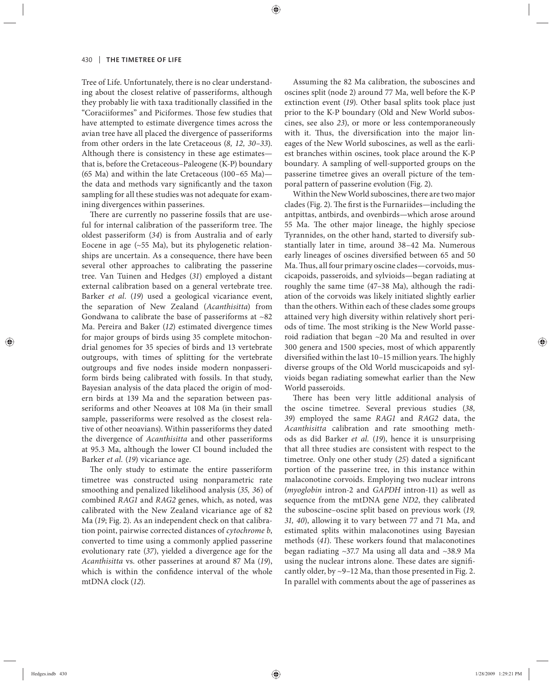Tree of Life. Unfortunately, there is no clear understanding about the closest relative of passeriforms, although they probably lie with taxa traditionally classified in the "Coraciiformes" and Piciformes. Those few studies that have attempted to estimate divergence times across the avian tree have all placed the divergence of passeriforms from other orders in the late Cretaceous (*8, 12, 30–33*). Although there is consistency in these age estimates that is, before the Cretaceous–Paleogene (K-P) boundary (65 Ma) and within the late Cretaceous (100*–*65 Ma) the data and methods vary significantly and the taxon sampling for all these studies was not adequate for examining divergences within passerines.

There are currently no passerine fossils that are useful for internal calibration of the passeriform tree. The oldest passeriform (*34*) is from Australia and of early Eocene in age  $(\sim 55$  Ma), but its phylogenetic relationships are uncertain. As a consequence, there have been several other approaches to calibrating the passerine tree. Van Tuinen and Hedges (*31*) employed a distant external calibration based on a general vertebrate tree. Barker *et al.* (*19*) used a geological vicariance event, the separation of New Zealand (*Acanthisitta*) from Gondwana to calibrate the base of passeriforms at  $~82$ Ma. Pereira and Baker (*12*) estimated divergence times for major groups of birds using 35 complete mitochondrial genomes for 35 species of birds and 13 vertebrate outgroups, with times of splitting for the vertebrate outgroups and five nodes inside modern nonpasseriform birds being calibrated with fossils. In that study, Bayesian analysis of the data placed the origin of modern birds at 139 Ma and the separation between passeriforms and other Neoaves at 108 Ma (in their small sample, passeriforms were resolved as the closest relative of other neoavians). Within passeriforms they dated the divergence of *Acanthisitta* and other passeriforms at 95.3 Ma, although the lower CI bound included the Barker *et al.* (*19*) vicariance age.

The only study to estimate the entire passeriform timetree was constructed using nonparametric rate smoothing and penalized likelihood analysis (*35, 36*) of combined *RAG1* and *RAG2* genes, which, as noted, was calibrated with the New Zealand vicariance age of 82 Ma (*19*; Fig. 2). As an independent check on that calibration point, pairwise corrected distances of *cytochrome b*, converted to time using a commonly applied passerine evolutionary rate (*37*), yielded a divergence age for the *Acanthisitta* vs. other passerines at around 87 Ma (*19*), which is within the confidence interval of the whole mtDNA clock (*12*).

Assuming the 82 Ma calibration, the suboscines and oscines split (node 2) around 77 Ma, well before the K-P extinction event (19). Other basal splits took place just prior to the K-P boundary (Old and New World suboscines, see also 23), or more or less contemporaneously with it. Thus, the diversification into the major lineages of the New World suboscines, as well as the earliest branches within oscines, took place around the K-P boundary. A sampling of well-supported groups on the passerine timetree gives an overall picture of the temporal pattern of passerine evolution (Fig. 2).

Within the New World suboscines, there are two major clades (Fig. 2). The first is the Furnariides—including the antpittas, antbirds, and ovenbirds—which arose around 55 Ma. The other major lineage, the highly speciose Tyrannides, on the other hand, started to diversify substantially later in time, around 38–42 Ma. Numerous early lineages of oscines diversified between 65 and 50 Ma. Thus, all four primary oscine clades—corvoids, muscicapoids, passeroids, and sylvioids—began radiating at roughly the same time (47-38 Ma), although the radiation of the corvoids was likely initiated slightly earlier than the others. Within each of these clades some groups attained very high diversity within relatively short periods of time. The most striking is the New World passeroid radiation that began  $~20$  Ma and resulted in over 300 genera and 1500 species, most of which apparently diversified within the last 10-15 million years. The highly diverse groups of the Old World muscicapoids and sylvioids began radiating somewhat earlier than the New World passeroids.

There has been very little additional analysis of the oscine timetree. Several previous studies (38, *39*) employed the same *RAG1* and *RAG2* data, the *Acanthisitta* calibration and rate smoothing methods as did Barker *et al.* (19), hence it is unsurprising that all three studies are consistent with respect to the timetree. Only one other study (25) dated a significant portion of the passerine tree, in this instance within malaconotine corvoids. Employing two nuclear introns (*myoglobin* intron-2 and *GAPDH* intron-11) as well as sequence from the mtDNA gene *ND2*, they calibrated the suboscine–oscine split based on previous work (19, *31, 40*), allowing it to vary between 77 and 71 Ma, and estimated splits within malaconotines using Bayesian methods (41). These workers found that malaconotines began radiating ~37.7 Ma using all data and ~38.9 Ma using the nuclear introns alone. These dates are significantly older, by ~9–12 Ma, than those presented in Fig. 2. In parallel with comments about the age of passerines as